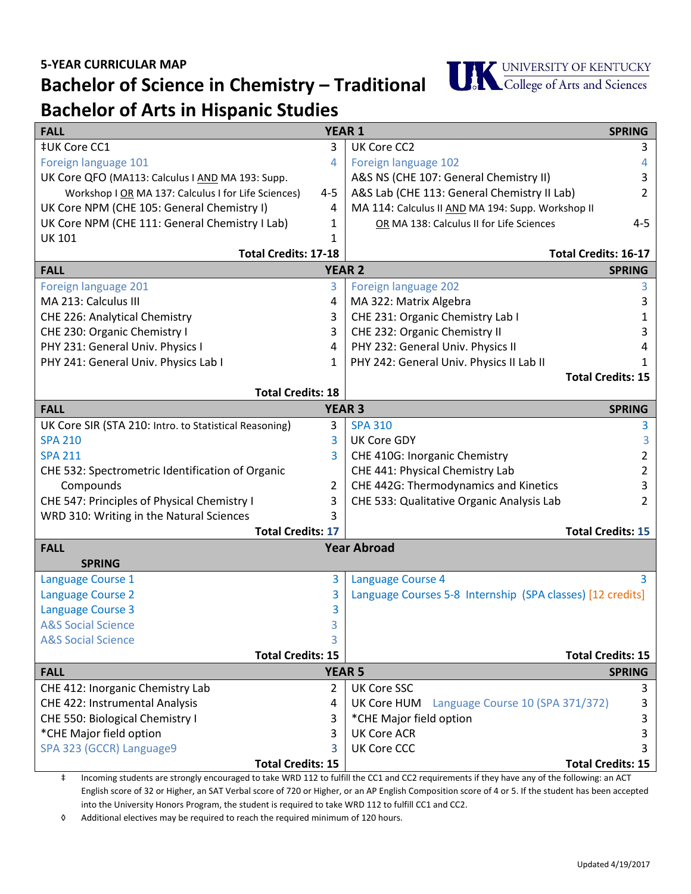**Bachelor of Science in Chemistry – Traditional**



## **Bachelor of Arts in Hispanic Studies**

| <b>FALL</b><br><b>YEAR 1</b>                           |               | <b>SPRING</b>                                              |                          |
|--------------------------------------------------------|---------------|------------------------------------------------------------|--------------------------|
| ‡UK Core CC1                                           | 3             | UK Core CC2                                                | 3                        |
| Foreign language 101                                   | 4             | Foreign language 102                                       | 4                        |
| UK Core QFO (MA113: Calculus I AND MA 193: Supp.       |               | A&S NS (CHE 107: General Chemistry II)                     | 3                        |
| Workshop I OR MA 137: Calculus I for Life Sciences)    | 4-5           | A&S Lab (CHE 113: General Chemistry II Lab)                | 2                        |
| UK Core NPM (CHE 105: General Chemistry I)             | 4             | MA 114: Calculus II AND MA 194: Supp. Workshop II          |                          |
| UK Core NPM (CHE 111: General Chemistry I Lab)         | 1             | OR MA 138: Calculus II for Life Sciences                   | 4-5                      |
| <b>UK 101</b>                                          | 1             |                                                            |                          |
| <b>Total Credits: 17-18</b>                            |               | <b>Total Credits: 16-17</b>                                |                          |
| <b>YEAR 2</b><br><b>FALL</b>                           |               |                                                            | <b>SPRING</b>            |
| Foreign language 201                                   | 3             | Foreign language 202                                       | 3                        |
| MA 213: Calculus III                                   | 4             | MA 322: Matrix Algebra                                     | 3                        |
| CHE 226: Analytical Chemistry                          | 3             | CHE 231: Organic Chemistry Lab I                           | 1                        |
| CHE 230: Organic Chemistry I                           | 3             | CHE 232: Organic Chemistry II                              | 3                        |
| PHY 231: General Univ. Physics I                       | 4             | PHY 232: General Univ. Physics II                          |                          |
| PHY 241: General Univ. Physics Lab I                   | 1             | PHY 242: General Univ. Physics II Lab II                   |                          |
|                                                        |               |                                                            | <b>Total Credits: 15</b> |
| <b>Total Credits: 18</b>                               |               |                                                            |                          |
| <b>FALL</b>                                            | <b>YEAR 3</b> |                                                            | <b>SPRING</b>            |
| UK Core SIR (STA 210: Intro. to Statistical Reasoning) | 3             | <b>SPA 310</b>                                             | 3                        |
| <b>SPA 210</b>                                         | 3             | <b>UK Core GDY</b>                                         | 3.                       |
| <b>SPA 211</b>                                         | 3             | CHE 410G: Inorganic Chemistry                              | 2                        |
| CHE 532: Spectrometric Identification of Organic       |               | CHE 441: Physical Chemistry Lab                            | 2                        |
| Compounds                                              | 2             | CHE 442G: Thermodynamics and Kinetics                      | 3                        |
| CHE 547: Principles of Physical Chemistry I            | 3             | CHE 533: Qualitative Organic Analysis Lab                  | 2                        |
| WRD 310: Writing in the Natural Sciences               | 3             |                                                            |                          |
| <b>Total Credits: 17</b><br><b>Total Credits: 15</b>   |               |                                                            |                          |
| <b>Year Abroad</b><br><b>FALL</b>                      |               |                                                            |                          |
| <b>SPRING</b>                                          |               |                                                            |                          |
| Language Course 1                                      | 3             | Language Course 4                                          | 3                        |
| <b>Language Course 2</b>                               | 3             | Language Courses 5-8 Internship (SPA classes) [12 credits] |                          |
| <b>Language Course 3</b>                               | 3             |                                                            |                          |
| <b>A&amp;S Social Science</b>                          | 3             |                                                            |                          |
| <b>A&amp;S Social Science</b>                          | 3             |                                                            |                          |
| <b>Total Credits: 15</b>                               |               |                                                            | <b>Total Credits: 15</b> |
| <b>YEAR 5</b><br><b>FALL</b>                           |               |                                                            | <b>SPRING</b>            |
| CHE 412: Inorganic Chemistry Lab                       | 2             | <b>UK Core SSC</b>                                         | 3                        |
| CHE 422: Instrumental Analysis                         | 4             | UK Core HUM Language Course 10 (SPA 371/372)               | 3                        |
| CHE 550: Biological Chemistry I                        | 3             | *CHE Major field option                                    | 3                        |
| *CHE Major field option                                | 3             | <b>UK Core ACR</b>                                         | 3                        |
| SPA 323 (GCCR) Language9                               | 3             | <b>UK Core CCC</b>                                         |                          |
| <b>Total Credits: 15</b>                               |               |                                                            | <b>Total Credits: 15</b> |

‡ Incoming students are strongly encouraged to take WRD 112 to fulfill the CC1 and CC2 requirements if they have any of the following: an ACT English score of 32 or Higher, an SAT Verbal score of 720 or Higher, or an AP English Composition score of 4 or 5. If the student has been accepted into the University Honors Program, the student is required to take WRD 112 to fulfill CC1 and CC2.

◊ Additional electives may be required to reach the required minimum of 120 hours.